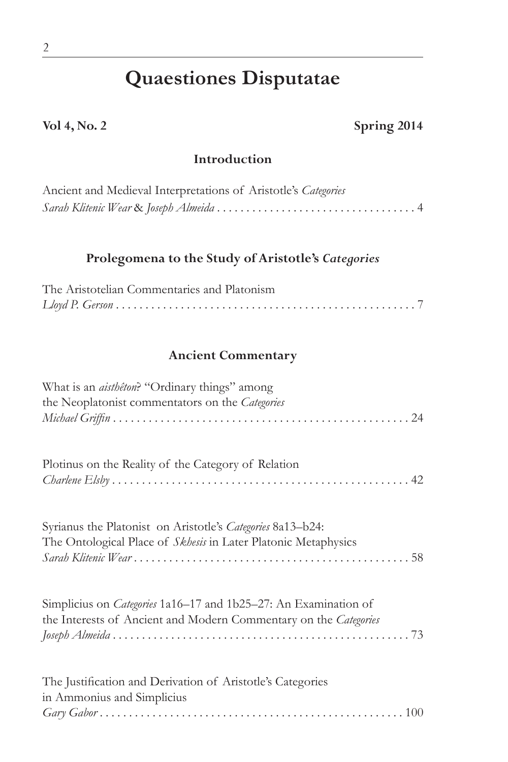# **Quaestiones Disputatae**

**Vol 4, No. 2 Spring 2014**

#### **Introduction**

| Ancient and Medieval Interpretations of Aristotle's Categories |  |
|----------------------------------------------------------------|--|
|                                                                |  |

### **Prolegomena to the Study of Aristotle's** *Categories*

| The Aristotelian Commentaries and Platonism |  |
|---------------------------------------------|--|
|                                             |  |

#### **Ancient Commentary**

| What is an <i>aisthêton</i> ? "Ordinary things" among<br>the Neoplatonist commentators on the Categories                                   |
|--------------------------------------------------------------------------------------------------------------------------------------------|
| Plotinus on the Reality of the Category of Relation                                                                                        |
| Syrianus the Platonist on Aristotle's Categories 8a13-b24:<br>The Ontological Place of Skhesis in Later Platonic Metaphysics               |
| Simplicius on <i>Categories</i> 1a16–17 and 1b25–27: An Examination of<br>the Interests of Ancient and Modern Commentary on the Categories |
| The Justification and Derivation of Aristotle's Categories<br>in Ammonius and Simplicius<br>$\chi$                                         |